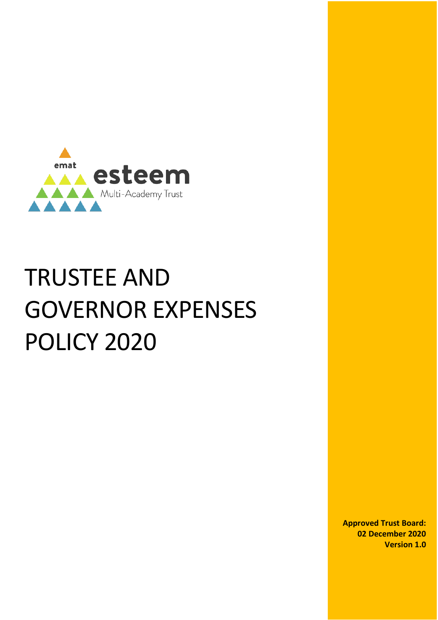

# TRUSTEE AND GOVERNOR EXPENSES POLICY 2020

**Approved Trust Board: 02 December 2020 Version 1.0**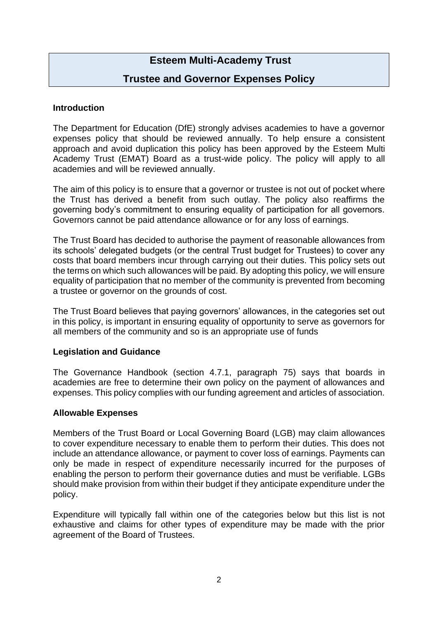# **Esteem Multi-Academy Trust**

## **Trustee and Governor Expenses Policy**

#### **Introduction**

The Department for Education (DfE) strongly advises academies to have a governor expenses policy that should be reviewed annually. To help ensure a consistent approach and avoid duplication this policy has been approved by the Esteem Multi Academy Trust (EMAT) Board as a trust-wide policy. The policy will apply to all academies and will be reviewed annually.

The aim of this policy is to ensure that a governor or trustee is not out of pocket where the Trust has derived a benefit from such outlay. The policy also reaffirms the governing body's commitment to ensuring equality of participation for all governors. Governors cannot be paid attendance allowance or for any loss of earnings.

The Trust Board has decided to authorise the payment of reasonable allowances from its schools' delegated budgets (or the central Trust budget for Trustees) to cover any costs that board members incur through carrying out their duties. This policy sets out the terms on which such allowances will be paid. By adopting this policy, we will ensure equality of participation that no member of the community is prevented from becoming a trustee or governor on the grounds of cost.

The Trust Board believes that paying governors' allowances, in the categories set out in this policy, is important in ensuring equality of opportunity to serve as governors for all members of the community and so is an appropriate use of funds

#### **Legislation and Guidance**

The Governance Handbook (section 4.7.1, paragraph 75) says that boards in academies are free to determine their own policy on the payment of allowances and expenses. This policy complies with our funding agreement and articles of association.

#### **Allowable Expenses**

Members of the Trust Board or Local Governing Board (LGB) may claim allowances to cover expenditure necessary to enable them to perform their duties. This does not include an attendance allowance, or payment to cover loss of earnings. Payments can only be made in respect of expenditure necessarily incurred for the purposes of enabling the person to perform their governance duties and must be verifiable. LGBs should make provision from within their budget if they anticipate expenditure under the policy.

Expenditure will typically fall within one of the categories below but this list is not exhaustive and claims for other types of expenditure may be made with the prior agreement of the Board of Trustees.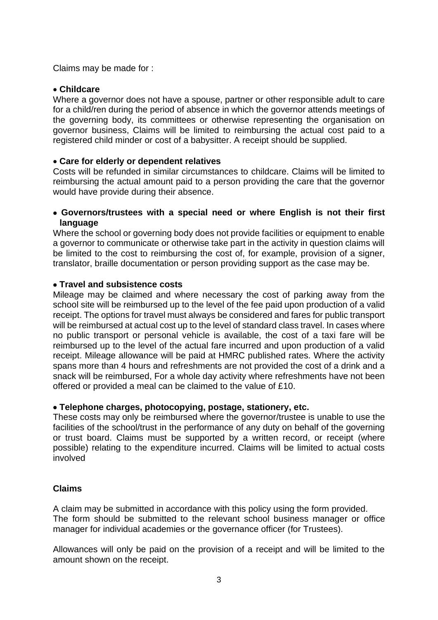Claims may be made for :

#### • **Childcare**

Where a governor does not have a spouse, partner or other responsible adult to care for a child/ren during the period of absence in which the governor attends meetings of the governing body, its committees or otherwise representing the organisation on governor business, Claims will be limited to reimbursing the actual cost paid to a registered child minder or cost of a babysitter. A receipt should be supplied.

#### • **Care for elderly or dependent relatives**

Costs will be refunded in similar circumstances to childcare. Claims will be limited to reimbursing the actual amount paid to a person providing the care that the governor would have provide during their absence.

#### • **Governors/trustees with a special need or where English is not their first language**

Where the school or governing body does not provide facilities or equipment to enable a governor to communicate or otherwise take part in the activity in question claims will be limited to the cost to reimbursing the cost of, for example, provision of a signer, translator, braille documentation or person providing support as the case may be.

#### • **Travel and subsistence costs**

Mileage may be claimed and where necessary the cost of parking away from the school site will be reimbursed up to the level of the fee paid upon production of a valid receipt. The options for travel must always be considered and fares for public transport will be reimbursed at actual cost up to the level of standard class travel. In cases where no public transport or personal vehicle is available, the cost of a taxi fare will be reimbursed up to the level of the actual fare incurred and upon production of a valid receipt. Mileage allowance will be paid at HMRC published rates. Where the activity spans more than 4 hours and refreshments are not provided the cost of a drink and a snack will be reimbursed, For a whole day activity where refreshments have not been offered or provided a meal can be claimed to the value of £10.

#### • **Telephone charges, photocopying, postage, stationery, etc.**

These costs may only be reimbursed where the governor/trustee is unable to use the facilities of the school/trust in the performance of any duty on behalf of the governing or trust board. Claims must be supported by a written record, or receipt (where possible) relating to the expenditure incurred. Claims will be limited to actual costs involved

#### **Claims**

A claim may be submitted in accordance with this policy using the form provided. The form should be submitted to the relevant school business manager or office manager for individual academies or the governance officer (for Trustees).

Allowances will only be paid on the provision of a receipt and will be limited to the amount shown on the receipt.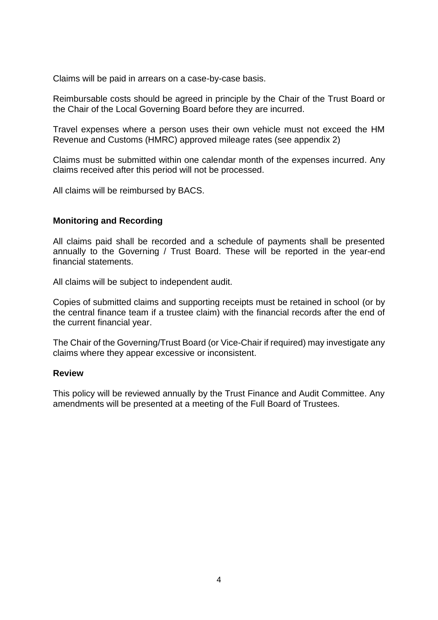Claims will be paid in arrears on a case-by-case basis.

Reimbursable costs should be agreed in principle by the Chair of the Trust Board or the Chair of the Local Governing Board before they are incurred.

Travel expenses where a person uses their own vehicle must not exceed the HM Revenue and Customs (HMRC) approved mileage rates (see appendix 2)

Claims must be submitted within one calendar month of the expenses incurred. Any claims received after this period will not be processed.

All claims will be reimbursed by BACS.

#### **Monitoring and Recording**

All claims paid shall be recorded and a schedule of payments shall be presented annually to the Governing / Trust Board. These will be reported in the year-end financial statements.

All claims will be subject to independent audit.

Copies of submitted claims and supporting receipts must be retained in school (or by the central finance team if a trustee claim) with the financial records after the end of the current financial year.

The Chair of the Governing/Trust Board (or Vice-Chair if required) may investigate any claims where they appear excessive or inconsistent.

#### **Review**

This policy will be reviewed annually by the Trust Finance and Audit Committee. Any amendments will be presented at a meeting of the Full Board of Trustees.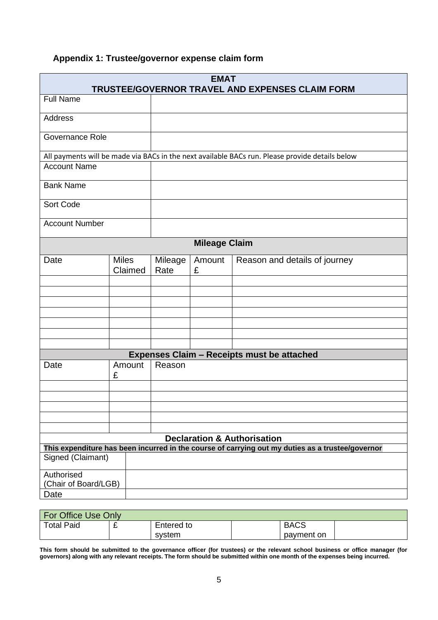# **Appendix 1: Trustee/governor expense claim form**

| <b>EMAT</b><br>TRUSTEE/GOVERNOR TRAVEL AND EXPENSES CLAIM FORM                                   |                         |                                                             |                                                                                                 |                               |  |  |  |
|--------------------------------------------------------------------------------------------------|-------------------------|-------------------------------------------------------------|-------------------------------------------------------------------------------------------------|-------------------------------|--|--|--|
| <b>Full Name</b>                                                                                 |                         |                                                             |                                                                                                 |                               |  |  |  |
| <b>Address</b>                                                                                   |                         |                                                             |                                                                                                 |                               |  |  |  |
| Governance Role                                                                                  |                         |                                                             |                                                                                                 |                               |  |  |  |
|                                                                                                  |                         |                                                             | All payments will be made via BACs in the next available BACs run. Please provide details below |                               |  |  |  |
| <b>Account Name</b>                                                                              |                         |                                                             |                                                                                                 |                               |  |  |  |
| <b>Bank Name</b>                                                                                 |                         |                                                             |                                                                                                 |                               |  |  |  |
| Sort Code                                                                                        |                         |                                                             |                                                                                                 |                               |  |  |  |
| <b>Account Number</b>                                                                            |                         |                                                             |                                                                                                 |                               |  |  |  |
| <b>Mileage Claim</b>                                                                             |                         |                                                             |                                                                                                 |                               |  |  |  |
| Date                                                                                             | <b>Miles</b><br>Claimed | Mileage<br>Rate                                             | Amount<br>£                                                                                     | Reason and details of journey |  |  |  |
|                                                                                                  |                         |                                                             |                                                                                                 |                               |  |  |  |
|                                                                                                  |                         |                                                             |                                                                                                 |                               |  |  |  |
|                                                                                                  |                         |                                                             |                                                                                                 |                               |  |  |  |
|                                                                                                  |                         |                                                             |                                                                                                 |                               |  |  |  |
|                                                                                                  |                         |                                                             |                                                                                                 |                               |  |  |  |
|                                                                                                  |                         |                                                             |                                                                                                 |                               |  |  |  |
| Amount<br>Date<br>£                                                                              |                         | <b>Expenses Claim - Receipts must be attached</b><br>Reason |                                                                                                 |                               |  |  |  |
|                                                                                                  |                         |                                                             |                                                                                                 |                               |  |  |  |
|                                                                                                  |                         |                                                             |                                                                                                 |                               |  |  |  |
|                                                                                                  |                         |                                                             |                                                                                                 |                               |  |  |  |
| <b>Declaration &amp; Authorisation</b>                                                           |                         |                                                             |                                                                                                 |                               |  |  |  |
| This expenditure has been incurred in the course of carrying out my duties as a trustee/governor |                         |                                                             |                                                                                                 |                               |  |  |  |
| Signed (Claimant)                                                                                |                         |                                                             |                                                                                                 |                               |  |  |  |
| Authorised                                                                                       |                         |                                                             |                                                                                                 |                               |  |  |  |
| (Chair of Board/LGB)                                                                             |                         |                                                             |                                                                                                 |                               |  |  |  |
| Date                                                                                             |                         |                                                             |                                                                                                 |                               |  |  |  |

| For Office Use Only    |  |            |  |             |  |  |  |  |
|------------------------|--|------------|--|-------------|--|--|--|--|
| <b>Total Paid</b><br>- |  | Entered to |  | <b>BACS</b> |  |  |  |  |
|                        |  | svstem     |  | payment on  |  |  |  |  |

**This form should be submitted to the governance officer (for trustees) or the relevant school business or office manager (for governors) along with any relevant receipts. The form should be submitted within one month of the expenses being incurred.**